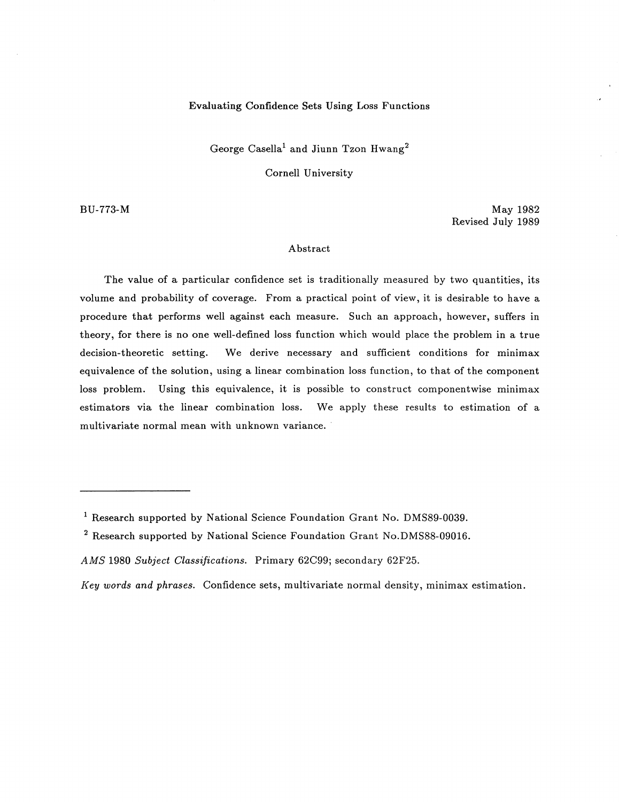# Evaluating Confidence Sets Using Loss Functions

George Casella<sup>1</sup> and Jiunn Tzon Hwang<sup>2</sup>

Cornell University

BU-773-M

May 1982 Revised July 1989

#### Abstract

The value of a particular confidence set is traditionally measured by two quantities, its volume and probability of coverage. From a practical point of view, it is desirable to have a procedure that performs well against each measure. Such an approach, however, suffers in theory, for there is no one well-defined loss function which would place the problem in a true decision-theoretic setting. We derive necessary and sufficient conditions for minimax equivalence of the solution, using a linear combination loss function, to that of the component loss problem. Using this equivalence, it is possible to construct componentwise minimax estimators via the linear combination loss. We apply these results to estimation of a multivariate normal mean with unknown variance.

<sup>&</sup>lt;sup>1</sup> Research supported by National Science Foundation Grant No. DMS89-0039.

<sup>&</sup>lt;sup>2</sup> Research supported by National Science Foundation Grant No.DMS88-09016.

*AMS* 1980 *Subject Classifications.* Primary 62C99; secondary 62F25.

*Key words and phrases.* Confidence sets, multivariate normal density, minimax estimation.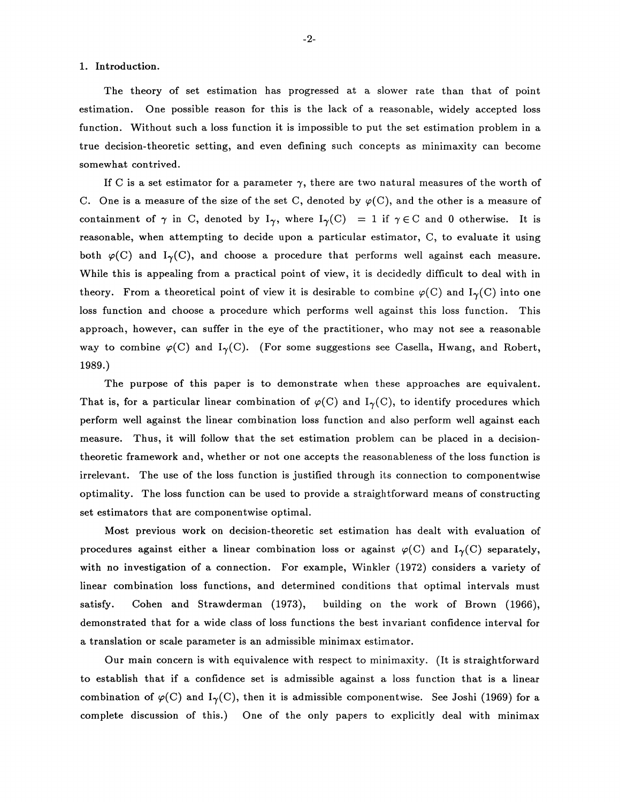#### 1. Introduction.

The theory of set estimation has progressed at a slower rate than that of point estimation. One possible reason for this is the lack of a reasonable, widely accepted loss function. Without such a loss function it is impossible to put the set estimation problem in a true decision-theoretic setting, and even defining such concepts as minimaxity can become somewhat contrived.

If C is a set estimator for a parameter  $\gamma$ , there are two natural measures of the worth of C. One is a measure of the size of the set C, denoted by  $\varphi(C)$ , and the other is a measure of containment of  $\gamma$  in C, denoted by  $I_{\gamma}$ , where  $I_{\gamma}(C) = 1$  if  $\gamma \in C$  and 0 otherwise. It is reasonable, when attempting to decide upon a particular estimator, C, to evaluate it using both  $\varphi(C)$  and I<sub> $\gamma$ </sub>(C), and choose a procedure that performs well against each measure. While this is appealing from a practical point of view, it is decidedly difficult to deal with in theory. From a theoretical point of view it is desirable to combine  $\varphi(C)$  and  $I_{\gamma}(C)$  into one loss function and choose a procedure which performs well against this loss function. This approach, however, can suffer in the eye of the practitioner, who may not see a reasonable way to combine  $\varphi(C)$  and  $I_{\gamma}(C)$ . (For some suggestions see Casella, Hwang, and Robert, 1989.)

The purpose of this paper is to demonstrate when these approaches are equivalent. That is, for a particular linear combination of  $\varphi(C)$  and  $I_{\gamma}(C)$ , to identify procedures which perform well against the linear combination loss function and also perform well against each measure. Thus, it will follow that the set estimation problem can be placed in a decisiontheoretic framework and, whether or not one accepts the reasonableness of the loss function is irrelevant. The use of the loss function is justified through its connection to componentwise optimality. The loss function can be used to provide a straightforward means of constructing set estimators that are componentwise optimal.

Most previous work on decision-theoretic set estimation has dealt with evaluation of procedures against either a linear combination loss or against  $\varphi(C)$  and  $I_{\gamma}(C)$  separately, with no investigation of a connection. For example, Winkler (1972) considers a variety of linear combination loss functions, and determined conditions that optimal intervals must satisfy. Cohen and Strawderman (1973), building on the work of Brown (1966), demonstrated that for a wide class of loss functions the best invariant confidence interval for a translation or scale parameter is an admissible minimax estimator.

Our main concern is with equivalence with respect to minimaxity. (It is straightforward to establish that if a confidence set is admissible against a loss function that is a linear combination of  $\varphi(C)$  and  $I_{\gamma}(C)$ , then it is admissible componentwise. See Joshi (1969) for a complete discussion of this.) One of the only papers to explicitly deal with minimax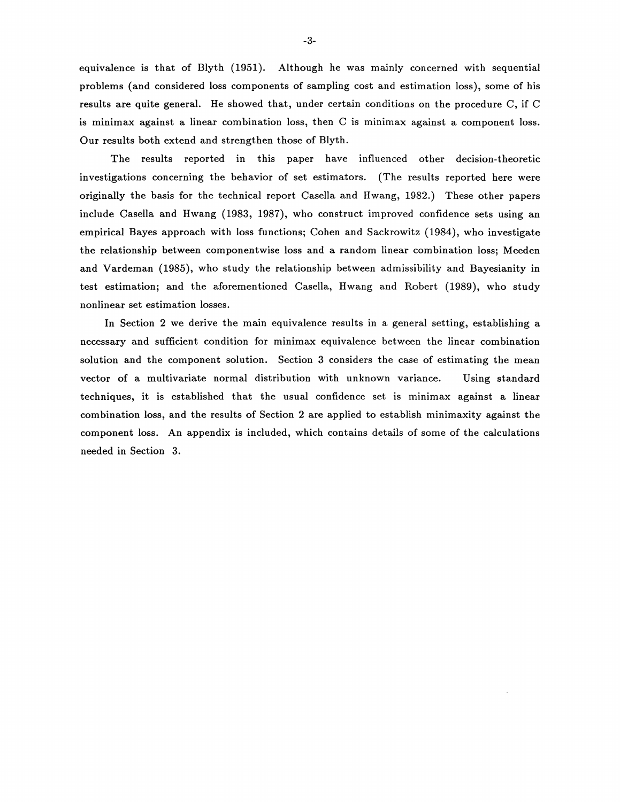equivalence is that of Blyth (1951). Although he was mainly concerned with sequential problems (and considered loss components of sampling cost and estimation loss), some of his results are quite general. He showed that, under certain conditions on the procedure C, if C is minimax against a linear combination loss, then C is minimax against a component loss. Our results both extend and strengthen those of Blyth.

The results reported in this paper have influenced other decision-theoretic investigations concerning the behavior of set estimators. (The results reported here were originally the basis for the technical report Casella and Hwang, 1982.) These other papers include Casella and Hwang (1983, 1987), who construct improved confidence sets using an empirical Bayes approach with loss functions; Cohen and Sackrowitz (1984), who investigate the relationship between componentwise loss and a random linear combination loss; Meeden and Vardeman (1985), who study the relationship between admissibility and Bayesianity in test estimation; and the aforementioned Casella, Hwang and Robert (1989), who study nonlinear set estimation losses.

In Section 2 we derive the main equivalence results in a general setting, establishing a necessary and sufficient condition for minimax equivalence between the linear combination solution and the component solution. Section 3 considers the case of estimating the mean vector of a multivariate normal distribution with unknown variance. Using standard techniques, it is established that the usual confidence set is minimax against a linear combination loss, and the results of Section 2 are applied to establish minimaxity against the component loss. An appendix is included, which contains details of some of the calculations needed in Section 3.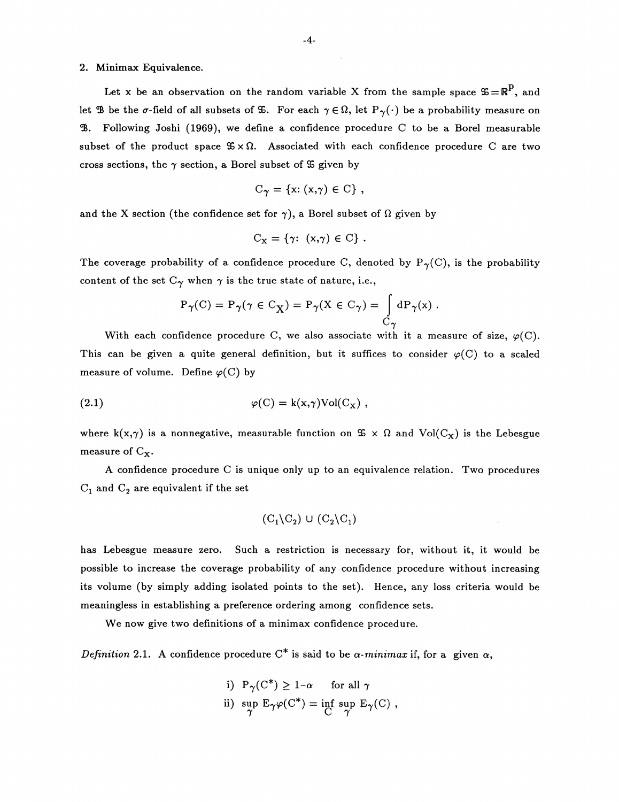## 2. Minimax Equivalence.

Let x be an observation on the random variable X from the sample space  $\mathfrak{S} = \mathbb{R}^p$ , and let  $\mathcal{B}$  be the  $\sigma$ -field of all subsets of  $\mathcal{B}$ . For each  $\gamma \in \Omega$ , let  $P_{\gamma}(\cdot)$  be a probability measure on  $\mathcal{B}.$  Following Joshi (1969), we define a confidence procedure C to be a Borel measurable subset of the product space  $\mathfrak{S} \times \Omega$ . Associated with each confidence procedure C are two cross sections, the  $\gamma$  section, a Borel subset of  $\mathfrak S$  given by

$$
C_{\gamma} = \{x: (x,\gamma) \in C\},\,
$$

and the X section (the confidence set for  $\gamma$ ), a Borel subset of  $\Omega$  given by

$$
C_{X} = \{ \gamma : (x, \gamma) \in C \} .
$$

The coverage probability of a confidence procedure C, denoted by  $P_{\gamma}(C)$ , is the probability content of the set  $C_{\gamma}$  when  $\gamma$  is the true state of nature, i.e.,

$$
P_{\gamma}(C) = P_{\gamma}(\gamma \in C_{X}) = P_{\gamma}(X \in C_{\gamma}) = \int_{C_{\gamma}} dP_{\gamma}(x) .
$$

With each confidence procedure C, we also associate with it a measure of size,  $\varphi(C)$ . This can be given a quite general definition, but it suffices to consider  $\varphi(C)$  to a scaled measure of volume. Define  $\varphi(C)$  by

(2.1) 
$$
\varphi(C) = k(x, \gamma) Vol(C_x) ,
$$

where  $k(x,\gamma)$  is a nonnegative, measurable function on  $\mathfrak{S} \times \Omega$  and  $Vol(C_x)$  is the Lebesgue measure of  $C_X$ .

A confidence procedure C is unique only up to an equivalence relation. Two procedures  $C_1$  and  $C_2$  are equivalent if the set

$$
(C_1 \backslash C_2) \cup (C_2 \backslash C_1)
$$

has Lebesgue measure zero. Such a restriction is necessary for, without it, it would be possible to increase the coverage probability of any confidence procedure without increasing its volume (by simply adding isolated points to the set). Hence, any loss criteria would be meaningless in establishing a preference ordering among confidence sets.

We now give two definitions of a minimax confidence procedure.

*Definition* 2.1. A confidence procedure  $C^*$  is said to be  $\alpha$ -minimax if, for a given  $\alpha$ ,

i) 
$$
P_{\gamma}(C^*) \ge 1-\alpha
$$
 for all  $\gamma$   
ii) sup  $E_{\gamma}\varphi(C^*) = \inf_{C} \sup_{\gamma} E_{\gamma}(C)$ ,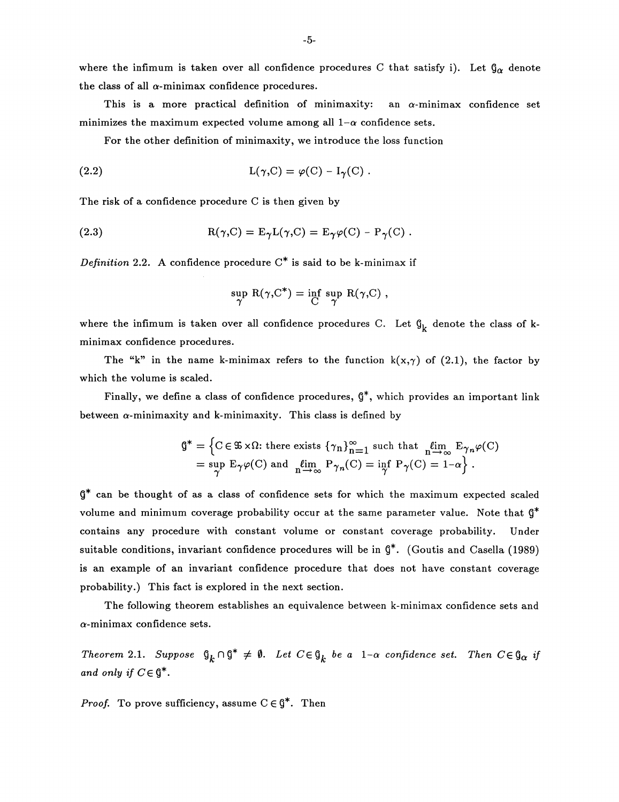where the infimum is taken over all confidence procedures C that satisfy i). Let  $\mathfrak{g}_{\alpha}$  denote the class of all  $\alpha$ -minimax confidence procedures.

This is a more practical definition of minimaxity: an  $\alpha$ -minimax confidence set minimizes the maximum expected volume among all  $1-\alpha$  confidence sets.

For the other definition of minimaxity, we introduce the loss function

(2.2) 
$$
L(\gamma, C) = \varphi(C) - I_{\gamma}(C).
$$

The risk of a confidence procedure C is then given by

(2.3) 
$$
R(\gamma,C) = E_{\gamma}L(\gamma,C) = E_{\gamma}\varphi(C) - P_{\gamma}(C).
$$

*Definition* 2.2. A confidence procedure  $C^*$  is said to be k-minimax if

$$
\sup_{\gamma} \; R(\gamma,C^*) = \inf_{C} \; \sup_{\gamma} \; R(\gamma,C) \; ,
$$

where the infimum is taken over all confidence procedures C. Let  $\mathfrak{g}_k$  denote the class of kminimax confidence procedures.

The "k" in the name k-minimax refers to the function  $k(x, \gamma)$  of (2.1), the factor by which the volume is scaled.

Finally, we define a class of confidence procedures,  $\mathcal{G}^*$ , which provides an important link between  $\alpha$ -minimaxity and k-minimaxity. This class is defined by

$$
\mathbf{G}^* = \left\{ \mathbf{C} \in \mathfrak{B} \times \Omega \colon \text{there exists } \left\{ \gamma_n \right\}_{n=1}^{\infty} \text{ such that } \lim_{n \to \infty} \mathbf{E}_{\gamma_n} \varphi(\mathbf{C}) \right\}
$$

$$
= \sup_{\gamma} \mathbf{E}_{\gamma} \varphi(\mathbf{C}) \text{ and } \lim_{n \to \infty} \mathbf{P}_{\gamma_n}(\mathbf{C}) = \inf_{\gamma} \mathbf{P}_{\gamma}(\mathbf{C}) = 1 - \alpha \right\}.
$$

g\* can be thought of as a class of confidence sets for which the maximum expected scaled volume and minimum coverage probability occur at the same parameter value. Note that  $\mathfrak{g}^*$ contains any procedure with constant volume or constant coverage probability. Under suitable conditions, invariant confidence procedures will be in  $\mathfrak{g}^*$ . (Goutis and Casella (1989) is an example of an invariant confidence procedure that does not have constant coverage probability.) This fact is explored in the next section.

The following theorem establishes an equivalence between k-minimax confidence sets and  $\alpha$ -minimax confidence sets.

*Theorem* 2.1. *Suppose*  $\mathfrak{g}_k \cap \mathfrak{g}^* \neq \emptyset$ . Let  $C \in \mathfrak{g}_k$  be a  $1-\alpha$  confidence set. Then  $C \in \mathfrak{g}_\alpha$  if *and only if*  $C \in \mathcal{G}^*$ .

*Proof.* To prove sufficiency, assume  $C \in \mathcal{G}^*$ . Then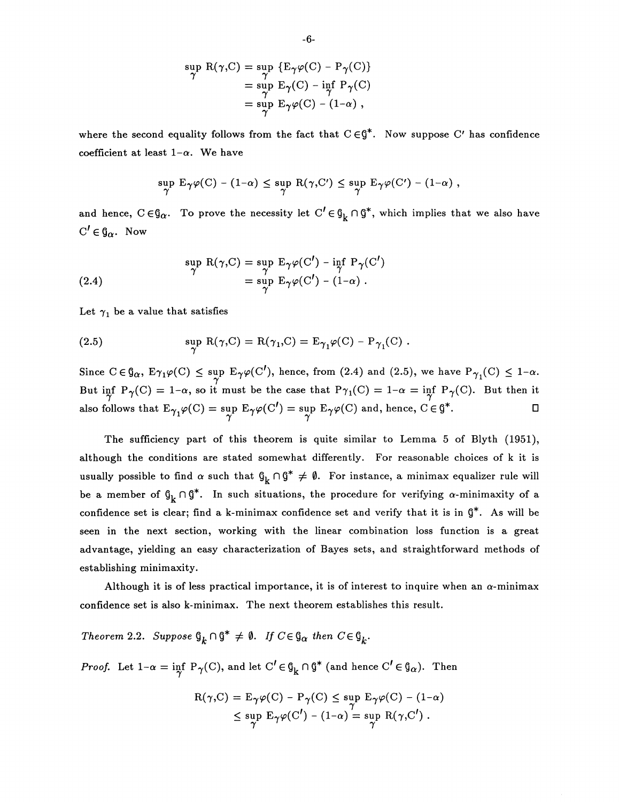$$
\sup_{\gamma} R(\gamma, C) = \sup_{\gamma} \{ E_{\gamma} \varphi(C) - P_{\gamma}(C) \}
$$
  
= 
$$
\sup_{\gamma} E_{\gamma}(C) - \inf_{\gamma} P_{\gamma}(C)
$$
  
= 
$$
\sup_{\gamma} E_{\gamma} \varphi(C) - (1-\alpha),
$$

where the second equality follows from the fact that  $C \in \mathcal{G}^*$ . Now suppose C' has confidence coefficient at least  $1-\alpha$ . We have

$$
\sup_{\gamma} E_{\gamma} \varphi(C) - (1-\alpha) \leq \sup_{\gamma} R(\gamma, C') \leq \sup_{\gamma} E_{\gamma} \varphi(C') - (1-\alpha) ,
$$

and hence,  $C \in \mathcal{G}_{\alpha}$ . To prove the necessity let  $C' \in \mathcal{G}_k \cap \mathcal{G}^*$ , which implies that we also have  $C' \in \mathfrak{g}_{\alpha}$ . Now

(2.4) 
$$
\sup_{\gamma} R(\gamma, C) = \sup_{\gamma} E_{\gamma} \varphi(C') - \inf_{\gamma} P_{\gamma}(C')
$$

$$
= \sup_{\gamma} E_{\gamma} \varphi(C') - (1-\alpha) .
$$

Let  $\gamma_1$  be a value that satisfies

(2.5) 
$$
\sup_{\gamma} R(\gamma, C) = R(\gamma_1, C) = E_{\gamma_1} \varphi(C) - P_{\gamma_1}(C) .
$$

Since  $C \in \mathfrak{g}_{\alpha}$ ,  $E_{\gamma_1} \varphi(C) \leq \sup_{\gamma} E_{\gamma} \varphi(C')$ , hence, from (2.4) and (2.5), we have  $P_{\gamma_1}(C) \leq 1-\alpha$ . But inf P<sub> $\gamma$ </sub>(C) = 1- $\alpha$ , so it must be the case that P $\gamma_1$ (C) = 1- $\alpha$  = inf P<sub> $\gamma$ </sub>(C). But then it also follows that  $E_{\gamma_1}\varphi(C) = \sup_{\gamma} E_{\gamma}\varphi(C') = \sup_{\gamma} E_{\gamma}\varphi(C)$  and, hence,  $C \in \mathfrak{g}^*.$ 

The sufficiency part of this theorem is quite similar to Lemma 5 of Blyth (1951), although the conditions are stated somewhat differently. For reasonable choices of k it is usually possible to find  $\alpha$  such that  $\mathfrak{g}_k \cap \mathfrak{g}^* \neq \emptyset$ . For instance, a minimax equalizer rule will be a member of  $\mathfrak{g}_k \cap \mathfrak{g}^*$ . In such situations, the procedure for verifying  $\alpha$ -minimaxity of a confidence set is clear; find a k-minimax confidence set and verify that it is in  $\mathfrak{g}^*$ . As will be seen in the next section, working with the linear combination loss function is a great advantage, yielding an easy characterization of Bayes sets, and straightforward methods of establishing minimaxity.

Although it is of less practical importance, it is of interest to inquire when an  $\alpha$ -minimax confidence set is also k-minimax. The next theorem establishes this result.

*Theorem 2.2. Suppose*  $\mathcal{G}_k \cap \mathcal{G}^* \neq \emptyset$ . *If*  $C \in \mathcal{G}_\alpha$  then  $C \in \mathcal{G}_k$ .

*Proof.* Let  $1-\alpha = \inf_{\gamma} P_{\gamma}(C)$ , and let  $C' \in \mathfrak{g}_k \cap \mathfrak{g}^*$  (and hence  $C' \in \mathfrak{g}_\alpha$ ). Then

$$
R(\gamma, C) = E_{\gamma} \varphi(C) - P_{\gamma}(C) \le \sup_{\gamma} E_{\gamma} \varphi(C) - (1 - \alpha)
$$
  
 
$$
\le \sup_{\gamma} E_{\gamma} \varphi(C') - (1 - \alpha) = \sup_{\gamma} R(\gamma, C').
$$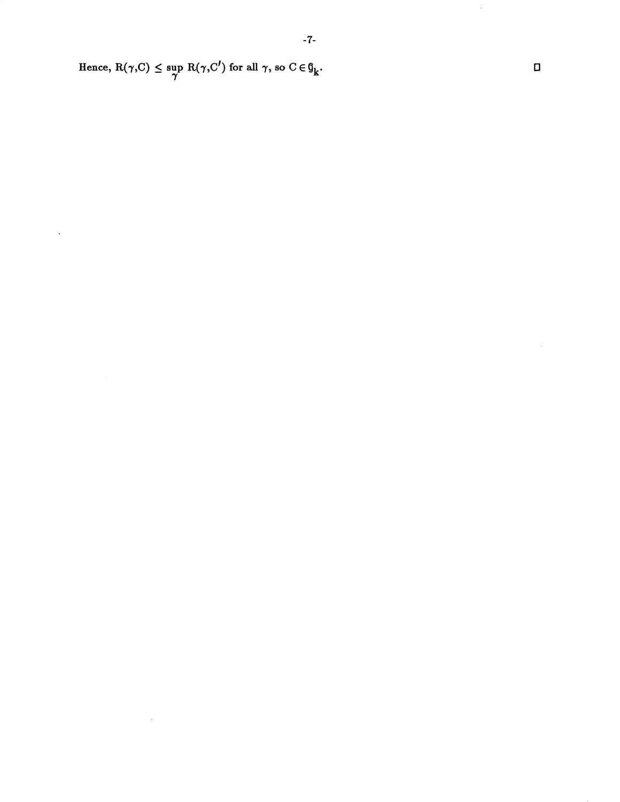Hence,  $R(\gamma, C) \leq \sup R(\gamma, C')$  for all  $\gamma$ , so  $C \in \mathfrak{g}_k$ .  $\pmb{\gamma}$ 

 $\sim 10^{-10}$ 

 $\mathcal{A}$ 

0

 $\hat{\boldsymbol{\epsilon}}$ 

 $\epsilon$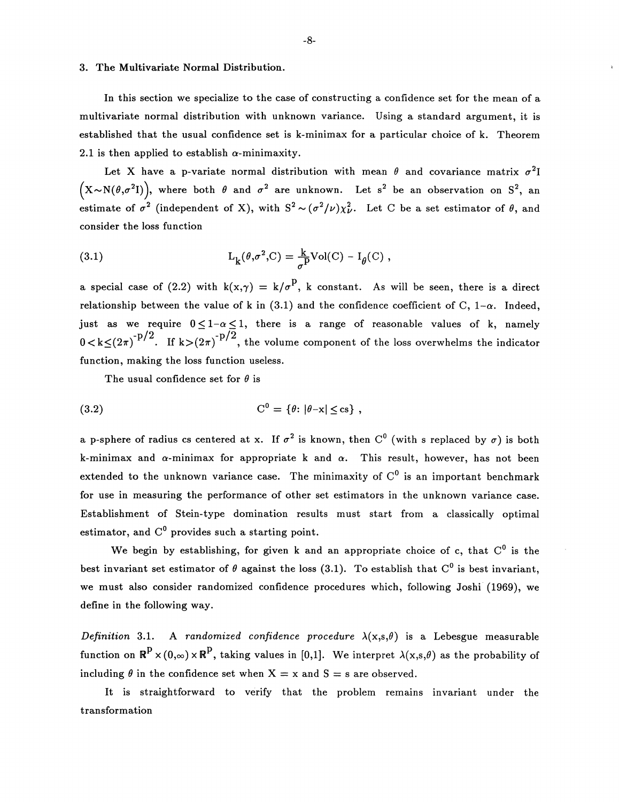#### 3. The Multivariate Normal Distribution.

In this section we specialize to the case of constructing a confidence set for the mean of a multivariate normal distribution with unknown variance. Using a standard argument, it is established that the usual confidence set is k-minimax for a particular choice of k. Theorem 2.1 is then applied to establish  $\alpha$ -minimaxity.

Let X have a p-variate normal distribution with mean  $\theta$  and covariance matrix  $\sigma^2 I$  $(X \sim N(\theta, \sigma^2 I)),$  where both  $\theta$  and  $\sigma^2$  are unknown. Let s<sup>2</sup> be an observation on S<sup>2</sup>, an estimate of  $\sigma^2$  (independent of X), with  $S^2 \sim (\sigma^2/\nu)\chi^2_{\nu}$ . Let C be a set estimator of  $\theta$ , and consider the loss function

(3.1) 
$$
L_k(\theta, \sigma^2, C) = \frac{k}{\sigma^p} Vol(C) - I_{\theta}(C) ,
$$

a special case of (2.2) with  $k(x,\gamma) = k/\sigma^p$ , k constant. As will be seen, there is a direct relationship between the value of k in (3.1) and the confidence coefficient of C,  $1-\alpha$ . Indeed, just as we require  $0 \le 1-\alpha \le 1$ , there is a range of reasonable values of k, namely  $0 < k \le (2\pi)^{-p/2}$ . If  $k>(2\pi)^{-p/2}$ , the volume component of the loss overwhelms the indicator function, making the loss function useless.

The usual confidence set for  $\theta$  is

$$
(3.2) \tC0 = \{\theta: |\theta - x| \le cs\},\t
$$

a p-sphere of radius cs centered at x. If  $\sigma^2$  is known, then C<sup>0</sup> (with s replaced by  $\sigma$ ) is both k-minimax and  $\alpha$ -minimax for appropriate k and  $\alpha$ . This result, however, has not been extended to the unknown variance case. The minimaxity of  $C^0$  is an important benchmark for use in measuring the performance of other set estimators in the unknown variance case. Establishment of Stein-type domination results must start from a classically optimal estimator, and  $C^0$  provides such a starting point.

We begin by establishing, for given k and an appropriate choice of c, that  $C^0$  is the best invariant set estimator of  $\theta$  against the loss (3.1). To establish that C<sup>0</sup> is best invariant, we must also consider randomized confidence procedures which, following Joshi (1969), we define in the following way.

*Definition* 3.1. A *randomized confidence procedure*  $\lambda(x,s,\theta)$  is a Lebesgue measurable function on  $\mathbb{R}^P \times (0,\infty) \times \mathbb{R}^P$ , taking values in [0,1]. We interpret  $\lambda(x,s,\theta)$  as the probability of including  $\theta$  in the confidence set when  $X = x$  and  $S = s$  are observed.

It is straightforward to verify that the problem remains invariant under the transformation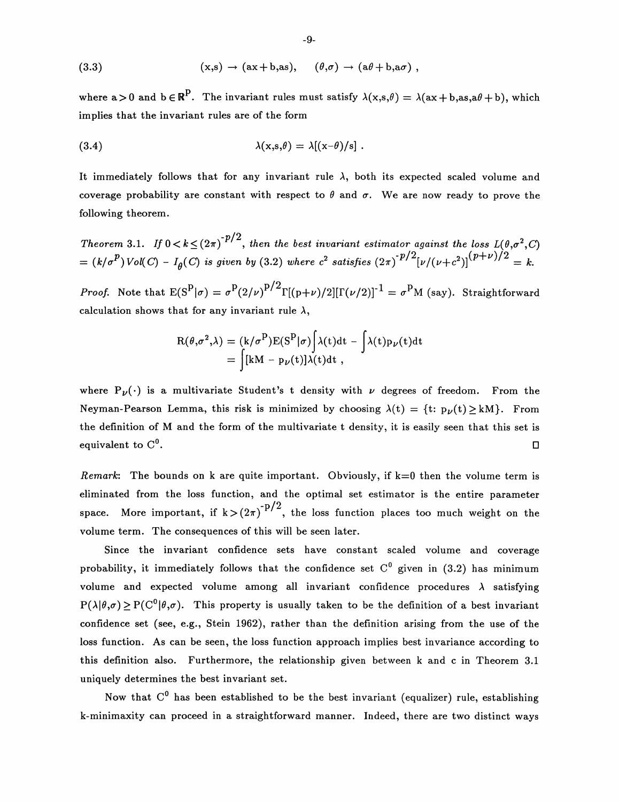(3.3) 
$$
(x,s) \rightarrow (ax+b,as), \quad (\theta,\sigma) \rightarrow (a\theta+b, a\sigma),
$$

where  $a>0$  and  $b \in \mathbb{R}^P$ . The invariant rules must satisfy  $\lambda(x,s,\theta) = \lambda(ax+b,as,a\theta+b)$ , which implies that the invariant rules are of the form

(3.4) 
$$
\lambda(x,s,\theta) = \lambda[(x-\theta)/s].
$$

It immediately follows that for any invariant rule  $\lambda$ , both its expected scaled volume and coverage probability are constant with respect to  $\theta$  and  $\sigma$ . We are now ready to prove the following theorem.

*Theorem* 3.1. *If*  $0 < k \leq (2\pi)^{-p/2}$ , then the best invariant estimator against the loss  $L(\theta, \sigma^2, C)$  $= (k/\sigma^p) Vol(C) - I_\theta(C)$  is given by (3.2) where  $c^2$  satisfies  $(2\pi)^{-p/2} [\nu/(\nu+c^2)]^{(p+\nu)/2} = k$ .

*Proof.* Note that  $E(S^P|\sigma) = \sigma^P(2/\nu)^{p/2}\Gamma[(p+\nu)/2][\Gamma(\nu/2)]^{-1} = \sigma^P M$  (say). Straightforward calculation shows that for any invariant rule  $\lambda$ ,

$$
R(\theta, \sigma^2, \lambda) = (k/\sigma^P) E(S^P | \sigma) \int \lambda(t) dt - \int \lambda(t) p_{\nu}(t) dt
$$
  
= 
$$
\int [kM - p_{\nu}(t)] \lambda(t) dt,
$$

where  $P_{\nu}(\cdot)$  is a multivariate Student's t density with  $\nu$  degrees of freedom. From the Neyman-Pearson Lemma, this risk is minimized by choosing  $\lambda(t) = \{t: p_{\nu}(t) \geq kM\}$ . From the definition of M and the form of the multivariate t density, it is easily seen that this set is equivalent to  $C^0$ .

*Remark*: The bounds on k are quite important. Obviously, if  $k=0$  then the volume term is eliminated from the loss function, and the optimal set estimator is the entire parameter space. More important, if  $k > (2\pi)^{-p/2}$ , the loss function places too much weight on the volume term. The consequences of this will be seen later.

Since the invariant confidence sets have constant scaled volume and coverage probability, it immediately follows that the confidence set  $C^0$  given in (3.2) has minimum volume and expected volume among all invariant confidence procedures  $\lambda$  satisfying  $P(\lambda|\theta,\sigma) \geq P(C^0|\theta,\sigma)$ . This property is usually taken to be the definition of a best invariant confidence set (see, e.g., Stein 1962), rather than the definition arising from the use of the loss function. As can be seen, the loss function approach implies best invariance according to this definition also. Furthermore, the relationship given between k and c in Theorem 3.1 uniquely determines the best invariant set.

Now that  $C^0$  has been established to be the best invariant (equalizer) rule, establishing k-minimaxity can proceed in a straightforward manner. Indeed, there are two distinct ways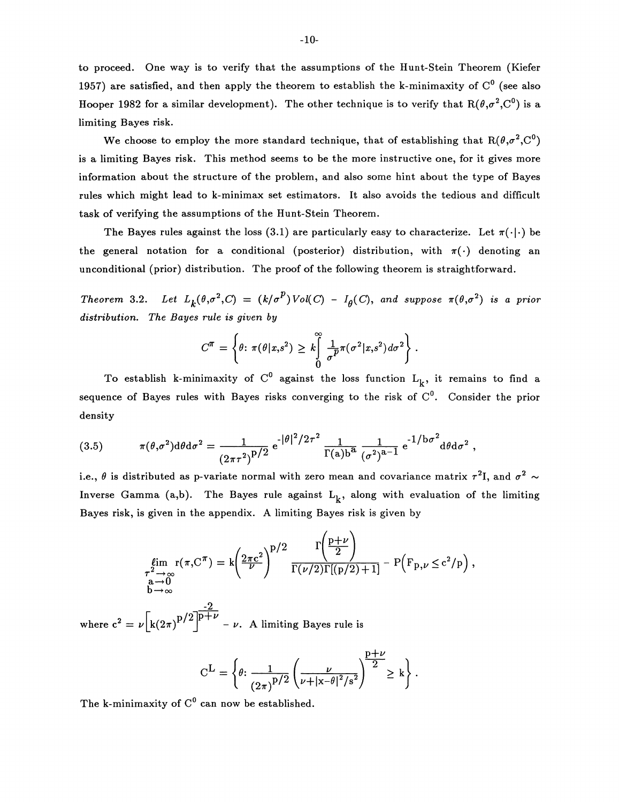to proceed. One way is to verify that the assumptions of the Hunt-Stein Theorem (Kiefer 1957) are satisfied, and then apply the theorem to establish the k-minimaxity of  $C^0$  (see also Hooper 1982 for a similar development). The other technique is to verify that  $R(\theta, \sigma^2, C^0)$  is a limiting Bayes risk.

We choose to employ the more standard technique, that of establishing that  $R(\theta, \sigma^2, C^0)$ is a limiting Bayes risk. This method seems to be the more instructive one, for it gives more information about the structure of the problem, and also some hint about the type of Bayes rules which might lead to k-minimax set estimators. It also avoids the tedious and difficult task of verifying the assumptions of the Hunt-Stein Theorem.

The Bayes rules against the loss (3.1) are particularly easy to characterize. Let  $\pi(\cdot|\cdot)$  be the general notation for a conditional (posterior) distribution, with  $\pi(\cdot)$  denoting an unconditional (prior) distribution. The proof of the following theorem is straightforward.

*Theorem 3.2. Let*  $L_k(\theta, \sigma^2, C) = (k/\sigma^p) Vol(C) - I_\theta(C)$ , and suppose  $\pi(\theta, \sigma^2)$  is a prior *distribution. The Bayes rule is given by* 

$$
C^{\pi} = \left\{\theta \colon \pi(\theta|x,s^2) \geq k \int_{0}^{\infty} \frac{1}{\sigma^{\beta}} \pi(\sigma^2|x,s^2) d\sigma^2 \right\}.
$$

To establish k-minimaxity of  $C^0$  against the loss function  $L_k$ , it remains to find a sequence of Bayes rules with Bayes risks converging to the risk of  $C^0$ . Consider the prior density

(3.5) 
$$
\pi(\theta,\sigma^2)d\theta d\sigma^2 = \frac{1}{(2\pi\tau^2)^{p/2}} e^{-|\theta|^2/2\tau^2} \frac{1}{\Gamma(a)b^a} \frac{1}{(\sigma^2)^{a-1}} e^{-1/b\sigma^2} d\theta d\sigma^2,
$$

i.e.,  $\theta$  is distributed as p-variate normal with zero mean and covariance matrix  $\tau^2 I$ , and  $\sigma^2 \sim$ Inverse Gamma (a,b). The Bayes rule against  $L_k$ , along with evaluation of the limiting Bayes risk, is given in the appendix. A limiting Bayes risk is given by

$$
\lim_{\substack{\tau^2 \to \infty \\ \mathbf{a} \to \mathbf{0} \\ \mathbf{b} \to \infty}} \mathbf{r}(\pi, \mathbf{C}^{\pi}) = k \left( \frac{2\pi c^2}{\nu} \right)^{p/2} \frac{\Gamma\left(\frac{p+\nu}{2}\right)}{\Gamma(\nu/2)\Gamma[(p/2)+1]} - P\left(\mathbf{F}_{p,\nu} \leq c^2/p\right)
$$

where  $c^2 = \nu |k(2\pi)^{D/2}|^{p+\nu}$  –  $\nu$ . A limiting Bayes rule is

$$
C^{L} = \left\{\theta \colon \frac{1}{(2\pi)^{p/2}} \left(\frac{\nu}{\nu + |x-\theta|^2/s^2}\right)^{\frac{p+\nu}{2}} \geq k\right\}.
$$

The k-minimaxity of  $C^0$  can now be established.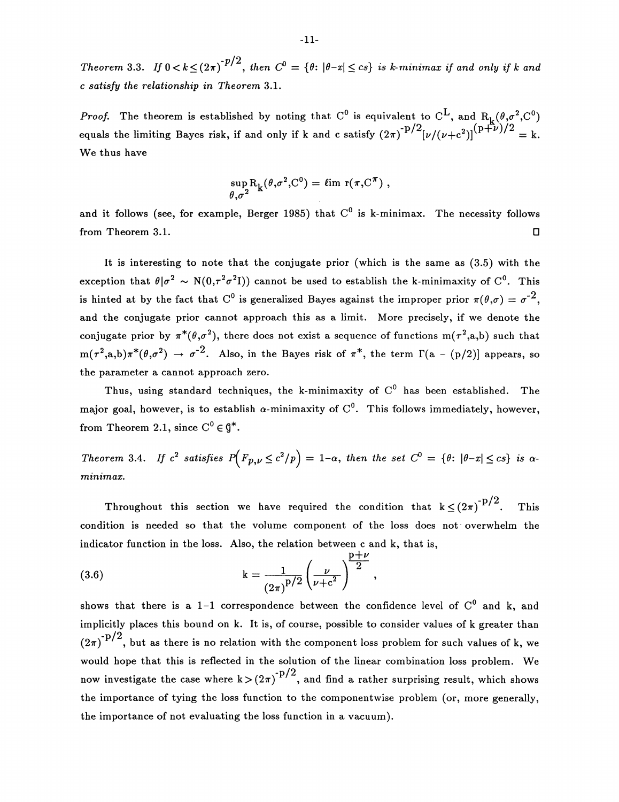*Theorem 3.3. If*  $0 < k \leq (2\pi)^{-p/2}$ , *then*  $C^0 = \{\theta: |\theta - x| \leq cs\}$  *is k-minimax if and only if k and c satisfy the relationship in Theorem* 3.1.

*Proof.* The theorem is established by noting that  $C^0$  is equivalent to  $C^L$ , and  $R_L(\theta, \sigma^2, C^0)$ equals the limiting Bayes risk, if and only if k and c satisfy  $(2\pi)^{-p/2}[\nu/(\nu+c^2)]^{(p+\nu)/2} = k$ . We thus have

$$
\sup_{\theta,\sigma^2} R_k(\theta,\sigma^2,C^0) = \ell \text{im } r(\pi,C^{\pi}),
$$

and it follows (see, for example, Berger 1985) that  $C^0$  is k-minimax. The necessity follows from Theorem 3.1. D

It is interesting to note that the conjugate prior (which is the same as (3.5) with the exception that  $\theta | \sigma^2 \sim N(0, \tau^2 \sigma^2 I)$  cannot be used to establish the k-minimaxity of C<sup>0</sup>. This is hinted at by the fact that C<sup>0</sup> is generalized Bayes against the improper prior  $\pi(\theta,\sigma) = \sigma^{-2}$ , and the conjugate prior cannot approach this as a limit. More precisely, if we denote the conjugate prior by  $\pi^*(\theta,\sigma^2)$ , there does not exist a sequence of functions m( $\tau^2$ ,a,b) such that  $m(\tau^2, a, b)\pi^*(\theta, \sigma^2) \rightarrow \sigma^{-2}$ . Also, in the Bayes risk of  $\pi^*$ , the term  $\Gamma(a - (p/2))$  appears, so the parameter a cannot approach zero.

Thus, using standard techniques, the k-minimaxity of  $C^0$  has been established. The major goal, however, is to establish  $\alpha$ -minimaxity of  $C^0$ . This follows immediately, however, from Theorem 2.1, since  $C^0 \in \mathfrak{g}^*$ .

*Theorem 3.4. If c*<sup>2</sup> *satisfies*  $P(F_{p,\nu} \le c^2/p) = 1-\alpha$ , then the set  $C^0 = \{\theta: |\theta-x| \le cs\}$  is  $\alpha$ *minimax.* 

Throughout this section we have required the condition that  $k \le (2\pi)^{-p/2}$ . This condition is needed so that the volume component of the loss does not· overwhelm the indicator function in the loss. Also, the relation between c and k, that is,

(3.6) 
$$
k = \frac{1}{(2\pi)^{p/2}} \left(\frac{\nu}{\nu + c^2}\right)^{\frac{p+2}{2}},
$$

shows that there is a 1-1 correspondence between the confidence level of  $C^0$  and k, and implicitly places this bound on k. It is, of course, possible to consider values of k greater than  $(2\pi)^{-p/2}$ , but as there is no relation with the component loss problem for such values of k, we would hope that this is reflected in the solution of the linear combination loss problem. We now investigate the case where  $k > (2\pi)^{-p/2}$ , and find a rather surprising result, which shows the importance of tying the loss function to the componentwise problem (or, more generally, the importance of not evaluating the loss function in a vacuum).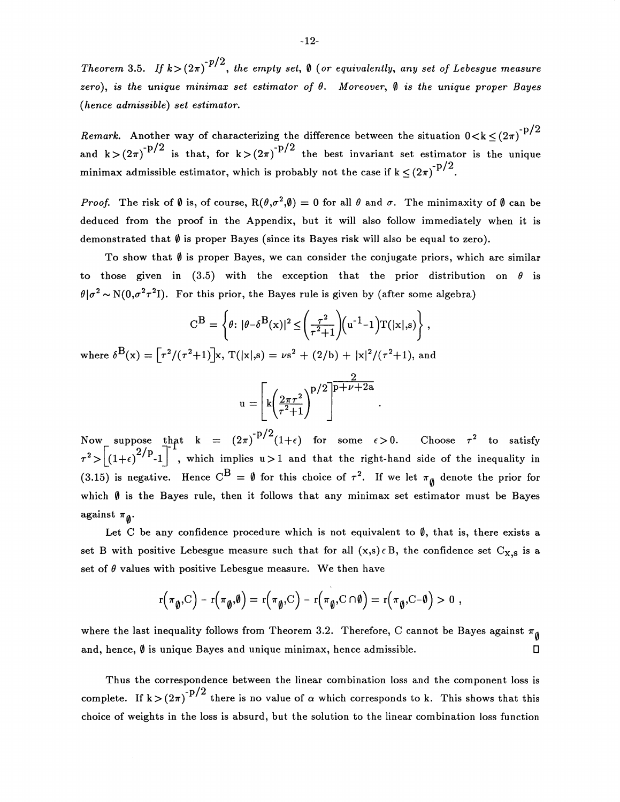Theorem 3.5. *If*  $k>(2\pi)^{-p/2}$ , the empty set,  $\emptyset$  (or equivalently, any set of Lebesgue measure *zero), is the unique minimax set estimator of* B. *Moreover,* 0 *is the unique proper Bayes (hence admissible) set estimator.* 

*Remark.* Another way of characterizing the difference between the situation  $0 < k \le (2\pi)^{-p/2}$ and k >  $(2\pi)^{-p/2}$  is that, for k >  $(2\pi)^{-p/2}$  the best invariant set estimator is the unique minimax admissible estimator, which is probably not the case if  $k \le (2\pi)^{-p/2}$ .

*Proof.* The risk of  $\emptyset$  is, of course,  $R(\theta, \sigma^2, \emptyset) = 0$  for all  $\theta$  and  $\sigma$ . The minimaxity of  $\emptyset$  can be deduced from the proof in the Appendix, but it will also follow immediately when it is demonstrated that  $\emptyset$  is proper Bayes (since its Bayes risk will also be equal to zero).

To show that  $\emptyset$  is proper Bayes, we can consider the conjugate priors, which are similar to those given in (3.5) with the exception that the prior distribution on  $\theta$  is  $\theta | \sigma^2 \sim N(0, \sigma^2 \tau^2 I)$ . For this prior, the Bayes rule is given by (after some algebra)

$$
C^{B} = \left\{ \theta \colon |\theta - \delta^{B}(x)|^{2} \le \left(\frac{\tau^{2}}{\tau^{2} + 1}\right) \left(u^{-1} - 1\right) T(|x|, s) \right\},
$$
  
where  $\delta^{B}(x) = \left[\tau^{2}/(\tau^{2} + 1)\right]x$ ,  $T(|x|, s) = \nu s^{2} + (2/b) + |\kappa|^{2}/(\tau^{2} + 1)$ , and  

$$
u = \left[ k \left(\frac{2\pi \tau^{2}}{\tau^{2} + 1}\right)^{p/2} \right]^{\frac{2}{p + \nu + 2a}}.
$$

Now suppose that  $k = (2\pi)^{-p/2}(1+\epsilon)$  for some  $\epsilon > 0$ . Choose  $\tau^2$  to satisfy  $\tau^2 >$  $\left[\left(1+\epsilon\right)^{2/P} - 1\right]$  , which implies u > 1 and that the right-hand side of the inequality in (3.15) is negative. Hence  $C^B = \emptyset$  for this choice of  $\tau^2$ . If we let  $\pi_{\emptyset}$  denote the prior for which  $\emptyset$  is the Bayes rule, then it follows that any minimax set estimator must be Bayes against  $\pi_{\mathfrak{g}}$ .

Let C be any confidence procedure which is not equivalent to  $\emptyset$ , that is, there exists a set B with positive Lebesgue measure such that for all  $(x,s) \in B$ , the confidence set  $C_{x,s}$  is a set of  $\theta$  values with positive Lebesgue measure. We then have

$$
r(\pi_{\emptyset}, C) - r(\pi_{\emptyset}, \emptyset) = r(\pi_{\emptyset}, C) - r(\pi_{\emptyset}, C \cap \emptyset) = r(\pi_{\emptyset}, C - \emptyset) > 0
$$

where the last inequality follows from Theorem 3.2. Therefore, C cannot be Bayes against  $\pi_{\emptyset}$ and, hence,  $\emptyset$  is unique Bayes and unique minimax, hence admissible.

Thus the correspondence between the linear combination loss and the component loss is complete. If  $k > (2\pi)^{-p/2}$  there is no value of  $\alpha$  which corresponds to k. This shows that this choice of weights in the loss is absurd, but the solution to the linear combination loss function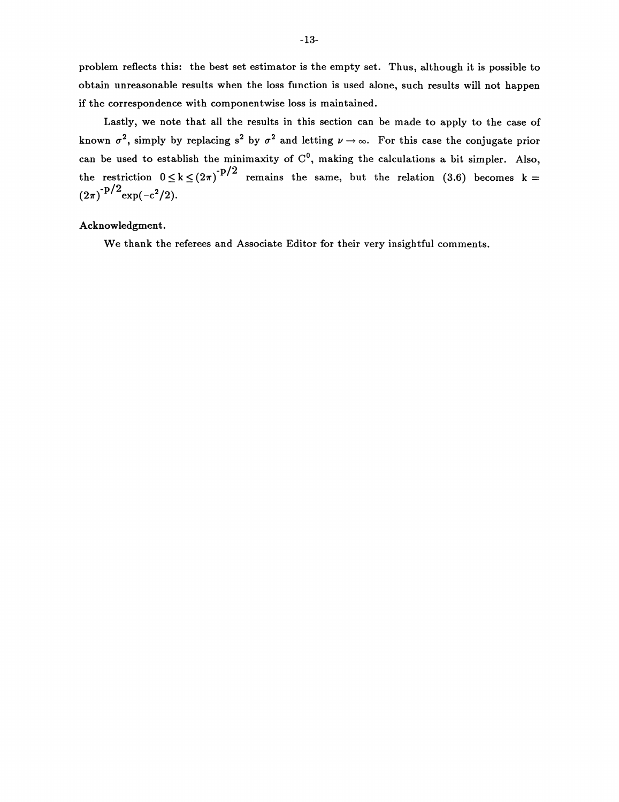problem reflects this: the best set estimator is the empty set. Thus, although it is possible to obtain unreasonable results when the loss function is used alone, such results will not happen if the correspondence with componentwise loss is maintained.

Lastly, we note that all the results in this section can be made to apply to the case of known  $\sigma^2$ , simply by replacing s<sup>2</sup> by  $\sigma^2$  and letting  $\nu \rightarrow \infty$ . For this case the conjugate prior can be used to establish the minimaxity of  $C^0$ , making the calculations a bit simpler. Also, the restriction  $0 \le k \le (2\pi)^{-p/2}$  remains the same, but the relation (3.6) becomes k =  $(2\pi)^{-p/2}$  exp(-c<sup>2</sup>/2).

# Acknowledgment.

We thank the referees and Associate Editor for their very insightful comments.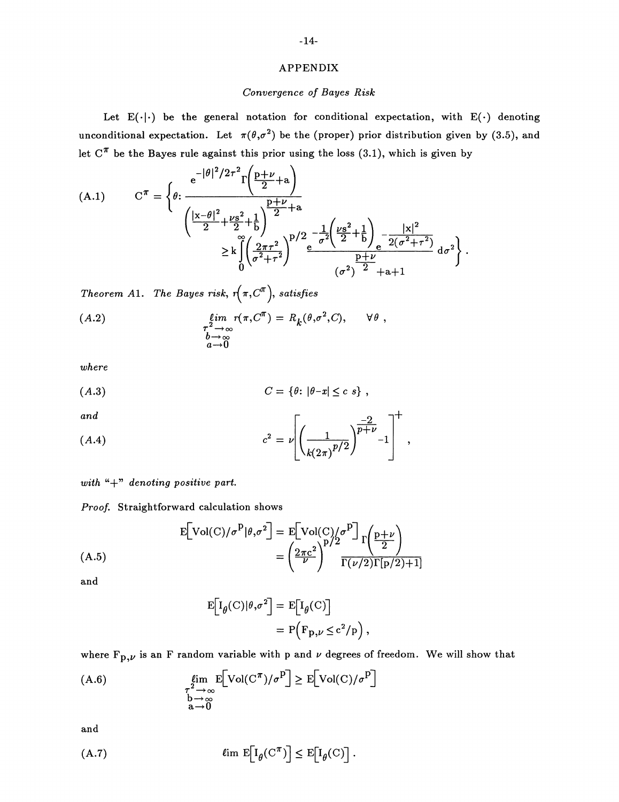### APPENDIX

## *Convergence of Bayes Risk*

Let  $E(\cdot|\cdot)$  be the general notation for conditional expectation, with  $E(\cdot)$  denoting unconditional expectation. Let  $\pi(\theta, \sigma^2)$  be the (proper) prior distribution given by (3.5), and let  $C^{\pi}$  be the Bayes rule against this prior using the loss (3.1), which is given by

(A.1) 
$$
C^{\pi} = \left\{ \theta : \frac{e^{-|\theta|^2/2\tau^2} \Gamma\left(\frac{p+\nu}{2} + a\right)}{\left(\frac{|x-\theta|^2}{2} + \frac{\nu s^2}{2} + \frac{1}{b}\right)^{\frac{p+\nu}{2} + a}} \times k \int_{0}^{\frac{p}{2} + \frac{p\tau^2}{2}} \frac{e^{-\frac{1}{2} \left(\frac{\nu s^2}{2} + \frac{1}{b}\right)} e^{-\frac{|x|^2}{2(\sigma^2 + \tau^2)}}}{\left(\sigma^2\right)^{\frac{p}{2}} + a + 1} d\sigma^2 \right\}.
$$

*Theorem A1. The Bayes risk,*  $r(\pi, C^{\pi})$ *, satisfies* 

$$
\begin{array}{lll}\n\text{(A.2)} & \lim_{\substack{\tau^2 \to \infty \\ b \to \infty}} \eta(\pi, C^{\pi}) = R_k(\theta, \sigma^2, C), \qquad \forall \theta \end{array},
$$

*where* 

$$
(A.3) \tC = \{\theta: |\theta - x| \leq c \ s\},
$$

*and* 

and

\n
$$
c^2 = \nu \left[ \left( \frac{1}{k(2\pi)^{p/2}} \right)^{\frac{-2}{p+\nu}} - 1 \right]^+,
$$

*with* "+" *denoting positive part.* 

*Proof.* Straightforward calculation shows

$$
\mathcal{E}\left[\text{Vol}(\mathcal{C})/\sigma^{\mathcal{P}}|\theta,\sigma^2\right] = \mathcal{E}\left[\text{Vol}(\mathcal{C})/\sigma^{\mathcal{P}}\right] \Gamma\left(\frac{p+\nu}{2}\right)
$$
\n
$$
= \left(\frac{2\pi c^2}{\nu}\right)^{p/2} \frac{\Gamma\left(\frac{p+\nu}{2}\right)}{\Gamma(\nu/2)\Gamma(p/2)+1}
$$

and

$$
E[I_{\theta}(C)|\theta, \sigma^2] = E[I_{\theta}(C)]
$$
  
= P(F<sub>p,ν</sub> \le c<sup>2</sup>/p),

where  $F_{p,\nu}$  is an F random variable with p and  $\nu$  degrees of freedom. We will show that

(A.6) 
$$
\lim_{\substack{\tau^2 \to \infty \\ b \to \infty \\ a \to 0}} \mathbb{E}\Big[\text{Vol}(\mathcal{C}^{\pi})/\sigma^{\mathcal{P}}\Big] \geq \mathbb{E}\Big[\text{Vol}(\mathcal{C})/\sigma^{\mathcal{P}}\Big]
$$

and

(A.7) 
$$
\ell \text{im } E\big[\mathbb{I}_{\theta}(\mathcal{C}^{\pi})\big] \leq E\big[\mathbb{I}_{\theta}(\mathcal{C})\big].
$$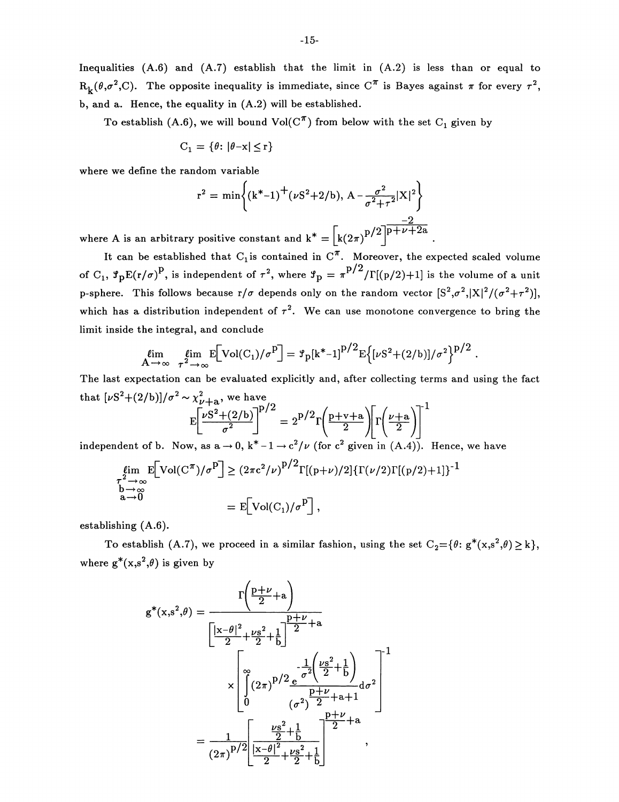Inequalities  $(A.6)$  and  $(A.7)$  establish that the limit in  $(A.2)$  is less than or equal to  $R_k(\theta, \sigma^2, C)$ . The opposite inequality is immediate, since  $C^{\pi}$  is Bayes against  $\pi$  for every  $\tau^2$ , b, and a. Hence, the equality in (A.2) will be established.

To establish (A.6), we will bound  $Vol(C^T)$  from below with the set  $C_1$  given by

$$
C_1=\{\theta\colon |\theta{-}x|\leq r\}
$$

where we define the random variable

$$
r^{2} = \min\left\{ (k^{*}-1)^{+} (\nu S^{2}+2/b), A - \frac{\sigma^{2}}{\sigma^{2}+\tau^{2}}|X|^{2} \right\}
$$

where A is an arbitrary positive constant and  $k^* = |k(2\pi)^{p/2}|^{p+\nu+2a}$ .

It can be established that  $C_1$  is contained in  $C^{\pi}$ . Moreover, the expected scaled volume of C<sub>1</sub>,  $\mathcal{F}_pE(r/\sigma)^p$ , is independent of  $\tau^2$ , where  $\mathcal{F}_p = \pi^{p/2} / \Gamma[(p/2)+1]$  is the volume of a unit p-sphere. This follows because  $r/\sigma$  depends only on the random vector  $[S^2,\sigma^2,|X|^2/(\sigma^2+\tau^2)],$ which has a distribution independent of  $\tau^2$ . We can use monotone convergence to bring the limit inside the integral, and conclude

$$
\lim_{A \to \infty} \lim_{\tau^2 \to \infty} E[Vol(C_1)/\sigma^p] = \mathcal{F}_p[k^*-1]^{p/2} E\big\{[\nu S^2 + (2/b)]/\sigma^2\big\}^{p/2}.
$$

The last expectation can be evaluated explicitly and, after collecting terms and using the fact that  $[\nu S^2 + (2/b)]/\sigma^2 \sim \chi^2_{\nu+2}$ , we have

$$
E\left[\frac{\nu S^2 + (2/b)}{\sigma^2}\right]^{p/2} = 2^{p/2} \Gamma\left(\frac{p+v+a}{2}\right) \Gamma\left(\frac{\nu+a}{2}\right)^{-1}
$$

independent of b. Now, as  $a \to 0$ ,  $k^* - 1 \to c^2/\nu$  (for  $c^2$  given in (A.4)). Hence, we have

$$
\lim_{\substack{\tau^2 \to \infty \\ b \to \infty \\ a \to 0}} \mathbb{E}[\text{Vol}(\mathcal{C}^{\pi})/\sigma^{\mathcal{P}}] \ge (2\pi c^2/\nu)^{\mathcal{P}/2} \Gamma[(p+\nu)/2] \{\Gamma(\nu/2)\Gamma[(p/2)+1]\}^{-1}
$$

$$
= \mathbb{E}[\text{Vol}(\mathcal{C}_1)/\sigma^{\mathcal{P}}],
$$

establishing (A.6).

To establish (A.7), we proceed in a similar fashion, using the set  $C_2 = \{\theta: g^*(x,s^2,\theta) \geq k\},\$ where  $g^*(x,s^2,\theta)$  is given by

$$
g^*(x,s^2,\theta) = \frac{\Gamma\left(\frac{p+\nu}{2}+a\right)}{\left[\frac{|x-\theta|^2}{2} + \frac{\nu s^2}{2} + \frac{1}{b}\right]^{\frac{p+\nu}{2}+a}} \times \sqrt{\int_{0}^{\infty} (2\pi)^{p/2} \frac{\frac{1}{\sigma^2} \left(\frac{\nu s^2}{2} + \frac{1}{b}\right)}{\left(\frac{\sigma^2}{2}\right)^{\frac{p+\nu}{2}+a+1}} d\sigma^2}
$$
\n
$$
= \frac{1}{(2\pi)^{p/2}} \frac{\frac{\nu s^2}{2} + \frac{1}{b}}{\frac{|x-\theta|^2}{2} + \frac{\nu s^2}{2} + \frac{1}{b}} + \frac{1}{2}.
$$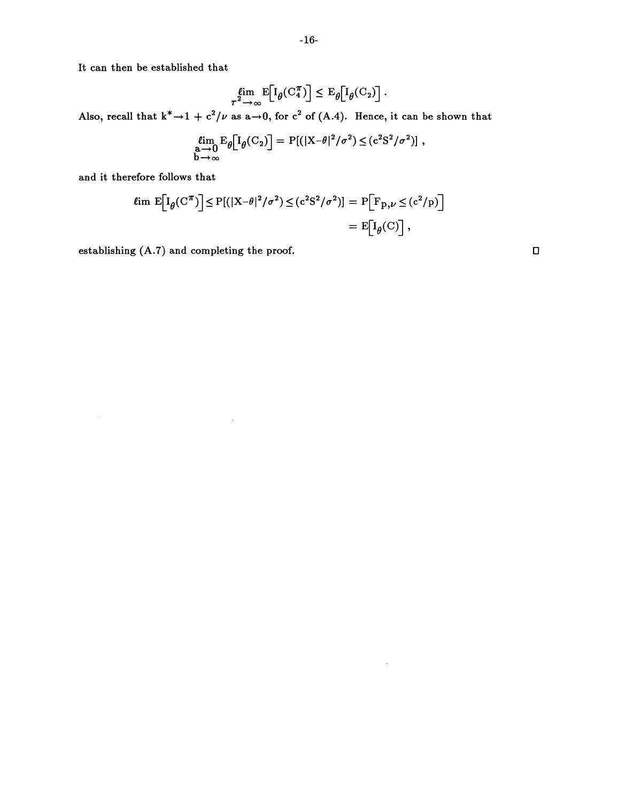It can then be established that

$$
\underset{\tau^2 \to \infty}{\text{lim}} \mathbb{E}\Big[\mathcal{I}_{\theta}(\mathcal{C}_4^{\pi})\Big] \leq \mathcal{E}_{\theta}\Big[\mathcal{I}_{\theta}(\mathcal{C}_2)\Big].
$$

Also, recall that  $k^* \rightarrow 1 + c^2/\nu$  as a $\rightarrow 0$ , for  $c^2$  of (A.4). Hence, it can be shown that

$$
\lim_{\substack{\mathbf{a}\to\mathbf{0}\\ \mathbf{b}\to\infty}} \mathbf{E}_{\theta} \big[\mathbf{I}_{\theta}(\mathbf{C}_2)\big] = \mathbf{P}[(|\mathbf{X}-\theta|^2/\sigma^2) \leq (c^2 S^2/\sigma^2)],
$$

 $\hat{\mathcal{L}}$ 

and it therefore follows that

$$
\ell \text{im } E\Big[I_{\theta}(C^{\pi})\Big] \le P[(|X-\theta|^2/\sigma^2) \le (c^2S^2/\sigma^2)] = P\Big[F_{p,\nu} \le (c^2/p)\Big]
$$
  
=  $E\Big[I_{\theta}(C)\Big]$ ,

establishing  $(A.7)$  and completing the proof.  $\square$ 

 $\bar{\bar{z}}$